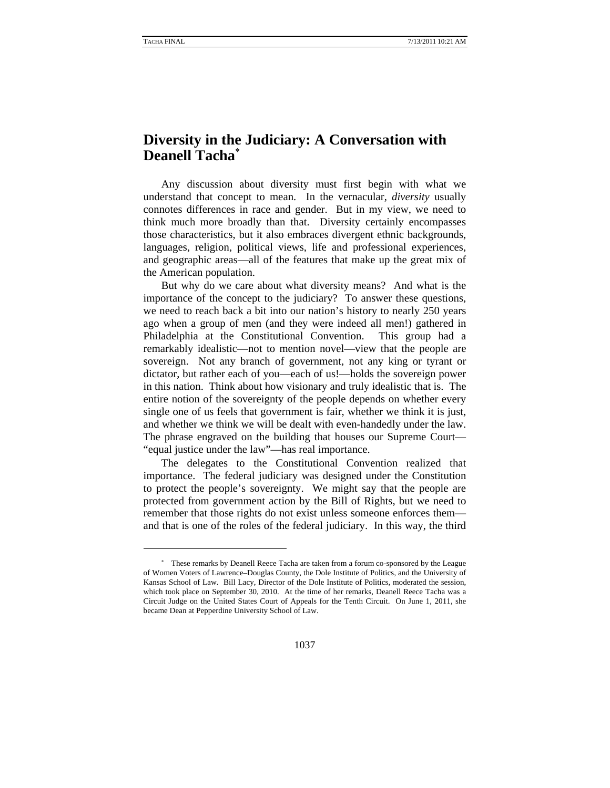1

# **Diversity in the Judiciary: A Conversation with Deanell Tacha**

Any discussion about diversity must first begin with what we understand that concept to mean. In the vernacular, *diversity* usually connotes differences in race and gender. But in my view, we need to think much more broadly than that. Diversity certainly encompasses those characteristics, but it also embraces divergent ethnic backgrounds, languages, religion, political views, life and professional experiences, and geographic areas—all of the features that make up the great mix of the American population.

But why do we care about what diversity means? And what is the importance of the concept to the judiciary? To answer these questions, we need to reach back a bit into our nation's history to nearly 250 years ago when a group of men (and they were indeed all men!) gathered in Philadelphia at the Constitutional Convention. This group had a remarkably idealistic—not to mention novel—view that the people are sovereign. Not any branch of government, not any king or tyrant or dictator, but rather each of you—each of us!—holds the sovereign power in this nation. Think about how visionary and truly idealistic that is. The entire notion of the sovereignty of the people depends on whether every single one of us feels that government is fair, whether we think it is just, and whether we think we will be dealt with even-handedly under the law. The phrase engraved on the building that houses our Supreme Court— "equal justice under the law"—has real importance.

The delegates to the Constitutional Convention realized that importance. The federal judiciary was designed under the Constitution to protect the people's sovereignty. We might say that the people are protected from government action by the Bill of Rights, but we need to remember that those rights do not exist unless someone enforces them and that is one of the roles of the federal judiciary. In this way, the third

 These remarks by Deanell Reece Tacha are taken from a forum co-sponsored by the League of Women Voters of Lawrence–Douglas County, the Dole Institute of Politics, and the University of Kansas School of Law. Bill Lacy, Director of the Dole Institute of Politics, moderated the session, which took place on September 30, 2010. At the time of her remarks, Deanell Reece Tacha was a Circuit Judge on the United States Court of Appeals for the Tenth Circuit. On June 1, 2011, she became Dean at Pepperdine University School of Law.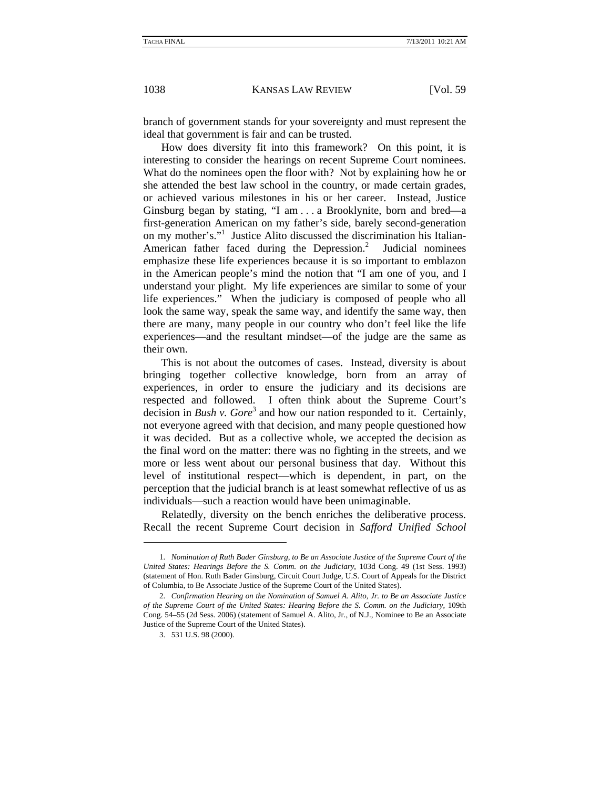1038 KANSAS LAW REVIEW [Vol. 59]

branch of government stands for your sovereignty and must represent the ideal that government is fair and can be trusted.

How does diversity fit into this framework? On this point, it is interesting to consider the hearings on recent Supreme Court nominees. What do the nominees open the floor with? Not by explaining how he or she attended the best law school in the country, or made certain grades, or achieved various milestones in his or her career. Instead, Justice Ginsburg began by stating, "I am . . . a Brooklynite, born and bred—a first-generation American on my father's side, barely second-generation on my mother's."<sup>1</sup> Justice Alito discussed the discrimination his Italian-American father faced during the Depression.<sup>2</sup> Judicial nominees emphasize these life experiences because it is so important to emblazon in the American people's mind the notion that "I am one of you, and I understand your plight. My life experiences are similar to some of your life experiences." When the judiciary is composed of people who all look the same way, speak the same way, and identify the same way, then there are many, many people in our country who don't feel like the life experiences—and the resultant mindset—of the judge are the same as their own.

This is not about the outcomes of cases. Instead, diversity is about bringing together collective knowledge, born from an array of experiences, in order to ensure the judiciary and its decisions are respected and followed. I often think about the Supreme Court's decision in *Bush v. Gore*<sup>3</sup> and how our nation responded to it. Certainly, not everyone agreed with that decision, and many people questioned how it was decided. But as a collective whole, we accepted the decision as the final word on the matter: there was no fighting in the streets, and we more or less went about our personal business that day. Without this level of institutional respect—which is dependent, in part, on the perception that the judicial branch is at least somewhat reflective of us as individuals—such a reaction would have been unimaginable.

Relatedly, diversity on the bench enriches the deliberative process. Recall the recent Supreme Court decision in *Safford Unified School* 

1

<sup>1.</sup> *Nomination of Ruth Bader Ginsburg, to Be an Associate Justice of the Supreme Court of the United States: Hearings Before the S. Comm. on the Judiciary*, 103d Cong. 49 (1st Sess. 1993) (statement of Hon. Ruth Bader Ginsburg, Circuit Court Judge, U.S. Court of Appeals for the District of Columbia, to Be Associate Justice of the Supreme Court of the United States).

<sup>2.</sup> *Confirmation Hearing on the Nomination of Samuel A. Alito, Jr. to Be an Associate Justice of the Supreme Court of the United States: Hearing Before the S. Comm. on the Judiciary*, 109th Cong. 54–55 (2d Sess. 2006) (statement of Samuel A. Alito, Jr., of N.J., Nominee to Be an Associate Justice of the Supreme Court of the United States).

 <sup>3. 531</sup> U.S. 98 (2000).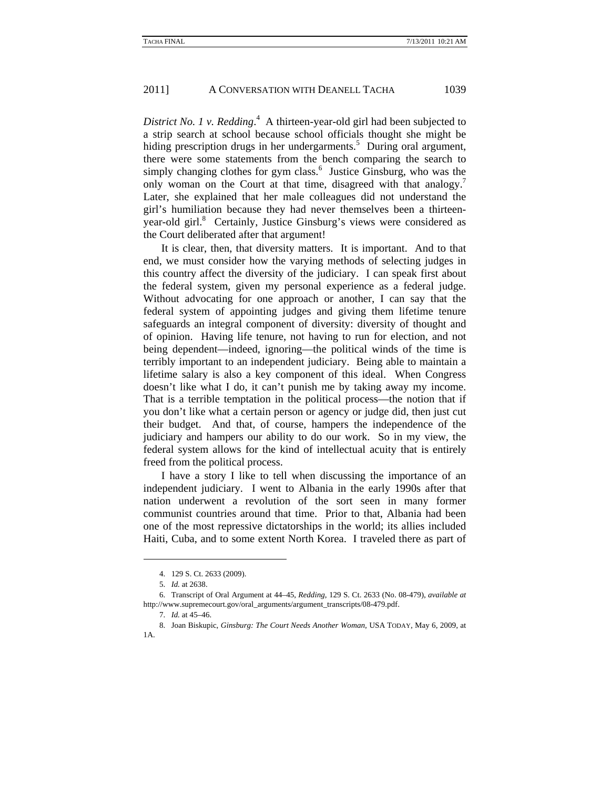## 2011] A CONVERSATION WITH DEANELL TACHA 1039

District No. 1 v. Redding.<sup>4</sup> A thirteen-year-old girl had been subjected to a strip search at school because school officials thought she might be hiding prescription drugs in her undergarments.<sup>5</sup> During oral argument, there were some statements from the bench comparing the search to simply changing clothes for gym class.<sup>6</sup> Justice Ginsburg, who was the only woman on the Court at that time, disagreed with that analogy.<sup>7</sup> Later, she explained that her male colleagues did not understand the girl's humiliation because they had never themselves been a thirteenyear-old girl.<sup>8</sup> Certainly, Justice Ginsburg's views were considered as the Court deliberated after that argument!

It is clear, then, that diversity matters. It is important. And to that end, we must consider how the varying methods of selecting judges in this country affect the diversity of the judiciary. I can speak first about the federal system, given my personal experience as a federal judge. Without advocating for one approach or another, I can say that the federal system of appointing judges and giving them lifetime tenure safeguards an integral component of diversity: diversity of thought and of opinion. Having life tenure, not having to run for election, and not being dependent—indeed, ignoring—the political winds of the time is terribly important to an independent judiciary. Being able to maintain a lifetime salary is also a key component of this ideal. When Congress doesn't like what I do, it can't punish me by taking away my income. That is a terrible temptation in the political process—the notion that if you don't like what a certain person or agency or judge did, then just cut their budget. And that, of course, hampers the independence of the judiciary and hampers our ability to do our work. So in my view, the federal system allows for the kind of intellectual acuity that is entirely freed from the political process.

I have a story I like to tell when discussing the importance of an independent judiciary. I went to Albania in the early 1990s after that nation underwent a revolution of the sort seen in many former communist countries around that time. Prior to that, Albania had been one of the most repressive dictatorships in the world; its allies included Haiti, Cuba, and to some extent North Korea. I traveled there as part of

1

 <sup>4. 129</sup> S. Ct. 2633 (2009).

<sup>5.</sup> *Id.* at 2638.

 <sup>6.</sup> Transcript of Oral Argument at 44–45, *Redding*, 129 S. Ct. 2633 (No. 08-479), *available at* http://www.supremecourt.gov/oral\_arguments/argument\_transcripts/08-479.pdf.

<sup>7.</sup> *Id.* at 45–46.

 <sup>8.</sup> Joan Biskupic, *Ginsburg: The Court Needs Another Woman*, USA TODAY, May 6, 2009, at 1A.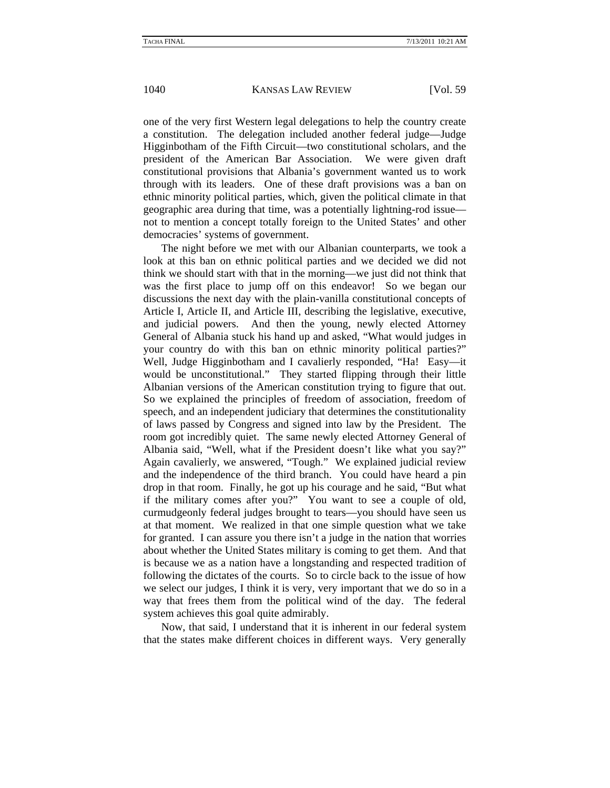#### 1040 KANSAS LAW REVIEW [Vol. 59]

one of the very first Western legal delegations to help the country create a constitution. The delegation included another federal judge—Judge Higginbotham of the Fifth Circuit—two constitutional scholars, and the president of the American Bar Association. We were given draft constitutional provisions that Albania's government wanted us to work through with its leaders. One of these draft provisions was a ban on ethnic minority political parties, which, given the political climate in that geographic area during that time, was a potentially lightning-rod issue not to mention a concept totally foreign to the United States' and other democracies' systems of government.

The night before we met with our Albanian counterparts, we took a look at this ban on ethnic political parties and we decided we did not think we should start with that in the morning—we just did not think that was the first place to jump off on this endeavor! So we began our discussions the next day with the plain-vanilla constitutional concepts of Article I, Article II, and Article III, describing the legislative, executive, and judicial powers. And then the young, newly elected Attorney General of Albania stuck his hand up and asked, "What would judges in your country do with this ban on ethnic minority political parties?" Well, Judge Higginbotham and I cavalierly responded, "Ha! Easy—it would be unconstitutional." They started flipping through their little Albanian versions of the American constitution trying to figure that out. So we explained the principles of freedom of association, freedom of speech, and an independent judiciary that determines the constitutionality of laws passed by Congress and signed into law by the President. The room got incredibly quiet. The same newly elected Attorney General of Albania said, "Well, what if the President doesn't like what you say?" Again cavalierly, we answered, "Tough." We explained judicial review and the independence of the third branch. You could have heard a pin drop in that room. Finally, he got up his courage and he said, "But what if the military comes after you?" You want to see a couple of old, curmudgeonly federal judges brought to tears—you should have seen us at that moment. We realized in that one simple question what we take for granted. I can assure you there isn't a judge in the nation that worries about whether the United States military is coming to get them. And that is because we as a nation have a longstanding and respected tradition of following the dictates of the courts. So to circle back to the issue of how we select our judges, I think it is very, very important that we do so in a way that frees them from the political wind of the day. The federal system achieves this goal quite admirably.

Now, that said, I understand that it is inherent in our federal system that the states make different choices in different ways. Very generally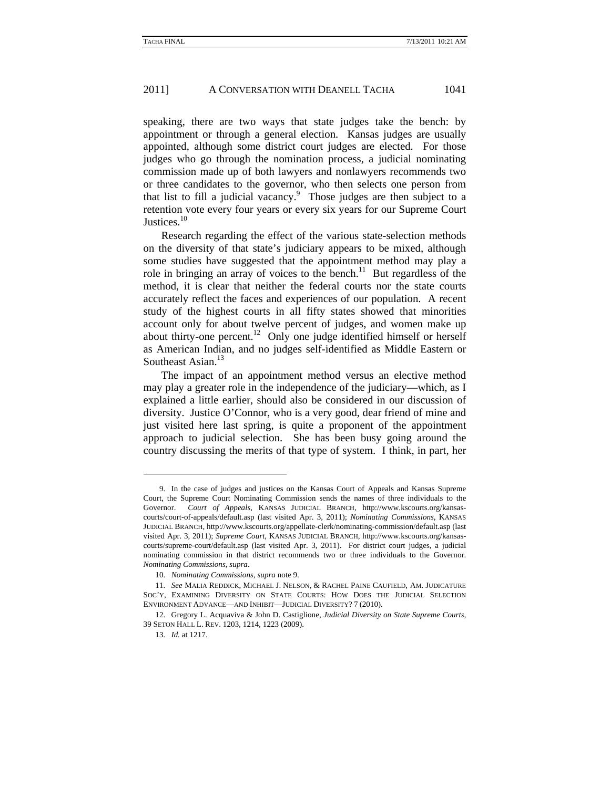## 2011] A CONVERSATION WITH DEANELL TACHA 1041

speaking, there are two ways that state judges take the bench: by appointment or through a general election. Kansas judges are usually appointed, although some district court judges are elected. For those judges who go through the nomination process, a judicial nominating commission made up of both lawyers and nonlawyers recommends two or three candidates to the governor, who then selects one person from that list to fill a judicial vacancy.<sup>9</sup> Those judges are then subject to a retention vote every four years or every six years for our Supreme Court Justices.<sup>10</sup>

Research regarding the effect of the various state-selection methods on the diversity of that state's judiciary appears to be mixed, although some studies have suggested that the appointment method may play a role in bringing an array of voices to the bench.<sup>11</sup> But regardless of the method, it is clear that neither the federal courts nor the state courts accurately reflect the faces and experiences of our population. A recent study of the highest courts in all fifty states showed that minorities account only for about twelve percent of judges, and women make up about thirty-one percent.<sup>12</sup> Only one judge identified himself or herself as American Indian, and no judges self-identified as Middle Eastern or Southeast Asian.<sup>13</sup>

The impact of an appointment method versus an elective method may play a greater role in the independence of the judiciary—which, as I explained a little earlier, should also be considered in our discussion of diversity. Justice O'Connor, who is a very good, dear friend of mine and just visited here last spring, is quite a proponent of the appointment approach to judicial selection. She has been busy going around the country discussing the merits of that type of system. I think, in part, her

l

 <sup>9.</sup> In the case of judges and justices on the Kansas Court of Appeals and Kansas Supreme Court, the Supreme Court Nominating Commission sends the names of three individuals to the Governor. *Court of Appeals*, KANSAS JUDICIAL BRANCH, http://www.kscourts.org/kansascourts/court-of-appeals/default.asp (last visited Apr. 3, 2011); *Nominating Commissions*, KANSAS JUDICIAL BRANCH, http://www.kscourts.org/appellate-clerk/nominating-commission/default.asp (last visited Apr. 3, 2011); *Supreme Court*, KANSAS JUDICIAL BRANCH, http://www.kscourts.org/kansascourts/supreme-court/default.asp (last visited Apr. 3, 2011). For district court judges, a judicial nominating commission in that district recommends two or three individuals to the Governor. *Nominating Commissions*, *supra*.

<sup>10.</sup> *Nominating Commissions*, *supra* note 9.

<sup>11.</sup> *See* MALIA REDDICK, MICHAEL J. NELSON, & RACHEL PAINE CAUFIELD, AM. JUDICATURE SOC'Y, EXAMINING DIVERSITY ON STATE COURTS: HOW DOES THE JUDICIAL SELECTION ENVIRONMENT ADVANCE—AND INHIBIT—JUDICIAL DIVERSITY? 7 (2010).

 <sup>12.</sup> Gregory L. Acquaviva & John D. Castiglione, *Judicial Diversity on State Supreme Courts*, 39 SETON HALL L. REV. 1203, 1214, 1223 (2009).

<sup>13.</sup> *Id.* at 1217.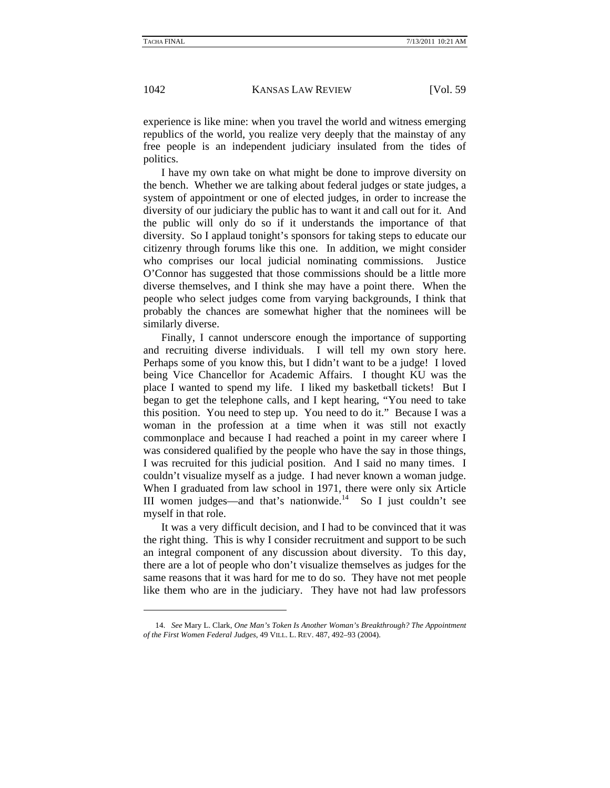1

1042 KANSAS LAW REVIEW [Vol. 59]

experience is like mine: when you travel the world and witness emerging republics of the world, you realize very deeply that the mainstay of any free people is an independent judiciary insulated from the tides of politics.

I have my own take on what might be done to improve diversity on the bench. Whether we are talking about federal judges or state judges, a system of appointment or one of elected judges, in order to increase the diversity of our judiciary the public has to want it and call out for it. And the public will only do so if it understands the importance of that diversity. So I applaud tonight's sponsors for taking steps to educate our citizenry through forums like this one. In addition, we might consider who comprises our local judicial nominating commissions. Justice O'Connor has suggested that those commissions should be a little more diverse themselves, and I think she may have a point there. When the people who select judges come from varying backgrounds, I think that probably the chances are somewhat higher that the nominees will be similarly diverse.

Finally, I cannot underscore enough the importance of supporting and recruiting diverse individuals. I will tell my own story here. Perhaps some of you know this, but I didn't want to be a judge! I loved being Vice Chancellor for Academic Affairs. I thought KU was the place I wanted to spend my life. I liked my basketball tickets! But I began to get the telephone calls, and I kept hearing, "You need to take this position. You need to step up. You need to do it." Because I was a woman in the profession at a time when it was still not exactly commonplace and because I had reached a point in my career where I was considered qualified by the people who have the say in those things, I was recruited for this judicial position. And I said no many times. I couldn't visualize myself as a judge. I had never known a woman judge. When I graduated from law school in 1971, there were only six Article III women judges—and that's nationwide. $14$  So I just couldn't see myself in that role.

It was a very difficult decision, and I had to be convinced that it was the right thing. This is why I consider recruitment and support to be such an integral component of any discussion about diversity. To this day, there are a lot of people who don't visualize themselves as judges for the same reasons that it was hard for me to do so. They have not met people like them who are in the judiciary. They have not had law professors

<sup>14.</sup> *See* Mary L. Clark, *One Man's Token Is Another Woman's Breakthrough? The Appointment of the First Women Federal Judges*, 49 VILL. L. REV. 487, 492–93 (2004).